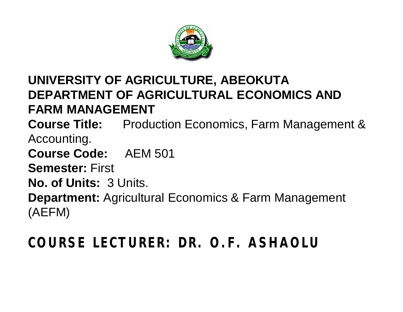

#### **UNIVERSITY OF AGRICULTURE, ABEOKUTA DEPARTMENT OF AGRICULTURAL ECONOMICS AND FARM MANAGEMENT**

**Course Title:** Production Economics, Farm Management & Accounting.

**Course Code:** AEM 501

**Semester:** First

**No. of Units:** 3 Units.

**Department:** Agricultural Economics & Farm Management (AEFM)

#### **COURSE LECTURER: DR. O.F. ASHAOLU**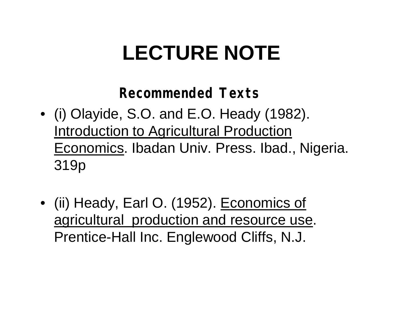# **LECTURE NOTE**

#### **Recommended Texts**

- (i) Olayide, S.O. and E.O. Heady (1982). Introduction to Agricultural Production Economics. Ibadan Univ. Press. Ibad., Nigeria. 319p
- (ii) Heady, Earl O. (1952). Economics of agricultural production and resource use. Prentice-Hall Inc. Englewood Cliffs, N.J.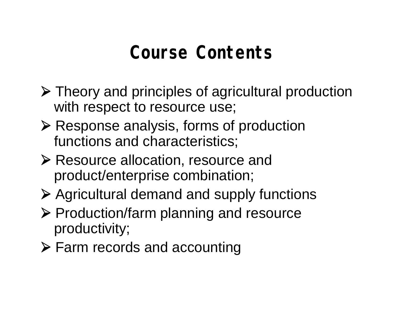## **Course Contents**

- Theory and principles of agricultural production with respect to resource use;
- ▶ Response analysis, forms of production functions and characteristics;
- **EXECUTE ALLOCATE EXECUTE FIGURE:** PRESOUTCE AND RESOURCE AND RESOURCE And product/enterprise combination;
- Agricultural demand and supply functions
- $\triangleright$  Production/farm planning and resource productivity;
- Farm records and accounting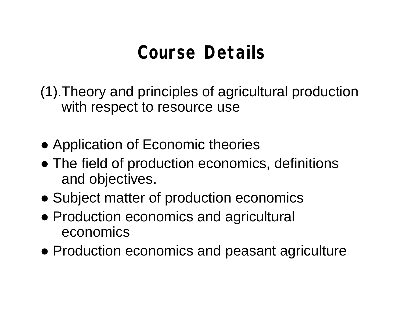## **Course Details**

(1).Theory and principles of agricultural production with respect to resource use

- Application of Economic theories
- The field of production economics, definitions and objectives.
- Subject matter of production economics
- Production economics and agricultural economics
- Production economics and peasant agriculture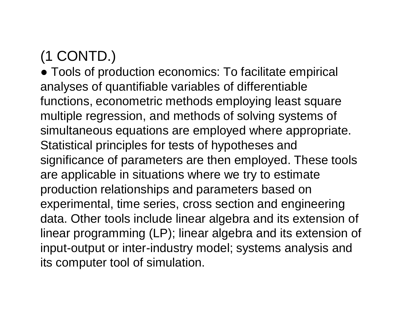#### (1 CONTD.)

• Tools of production economics: To facilitate empirical analyses of quantifiable variables of differentiable functions, econometric methods employing least square multiple regression, and methods of solving systems of simultaneous equations are employed where appropriate. Statistical principles for tests of hypotheses and significance of parameters are then employed. These tools are applicable in situations where we try to estimate production relationships and parameters based on experimental, time series, cross section and engineering data. Other tools include linear algebra and its extension of linear programming (LP); linear algebra and its extension of input-output or inter-industry model; systems analysis and its computer tool of simulation.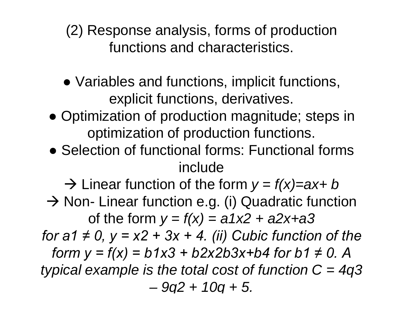(2) Response analysis, forms of production functions and characteristics.

- Variables and functions, implicit functions, explicit functions, derivatives.
- Optimization of production magnitude; steps in optimization of production functions.
- Selection of functional forms: Functional forms include

 $\rightarrow$  Linear function of the form  $y = f(x) = ax + b$  $\rightarrow$  Non- Linear function e.g. (i) Quadratic function of the form  $y = f(x) = a1x^2 + a2x + a3$ *for a1*  $\neq$  *0, y = x2 + 3x + 4. (ii) Cubic function of the form y = f(x) = b1x3 + b2x2b3x+b4 for b1*  $\neq$  *0. A typical example is the total cost of function C = 4q3 – 9q2 + 10q + 5.*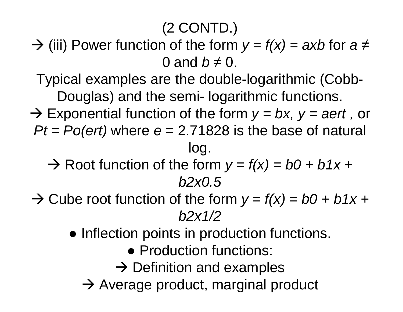#### (2 CONTD.)

 $\rightarrow$  (iii) Power function of the form  $y = f(x) = axb$  for  $a \neq$ 0 and  $b \neq 0$ .

Typical examples are the double-logarithmic (Cobb-Douglas) and the semi- logarithmic functions.

- → Exponential function of the form *y = bx, y = aert,* or *Pt = Po(ert)* where *e* = 2.71828 is the base of natural log.
	- $\rightarrow$  Root function of the form  $y = f(x) = b0 + b1x + c$ *b2x0.5*
- $\rightarrow$  Cube root function of the form  $y = f(x) = b0 + b1x + c$ *b2x1/2* 
	- Inflection points in production functions.
		- Production functions:
		- $\rightarrow$  Definition and examples
		- $\rightarrow$  Average product, marginal product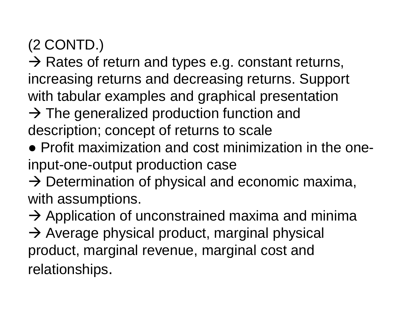### (2 CONTD.)

 $\rightarrow$  Rates of return and types e.g. constant returns, increasing returns and decreasing returns. Support with tabular examples and graphical presentation

- $\rightarrow$  The generalized production function and description; concept of returns to scale
- Profit maximization and cost minimization in the oneinput-one-output production case
- $\rightarrow$  Determination of physical and economic maxima, with assumptions.

 $\rightarrow$  Application of unconstrained maxima and minima  $\rightarrow$  Average physical product, marginal physical product, marginal revenue, marginal cost and relationships.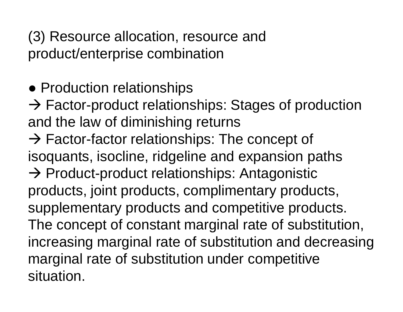(3) Resource allocation, resource and product/enterprise combination

• Production relationships

 $\rightarrow$  Factor-product relationships: Stages of production and the law of diminishing returns

 $\rightarrow$  Factor-factor relationships: The concept of isoquants, isocline, ridgeline and expansion paths  $\rightarrow$  Product-product relationships: Antagonistic products, joint products, complimentary products, supplementary products and competitive products. The concept of constant marginal rate of substitution, increasing marginal rate of substitution and decreasing marginal rate of substitution under competitive situation.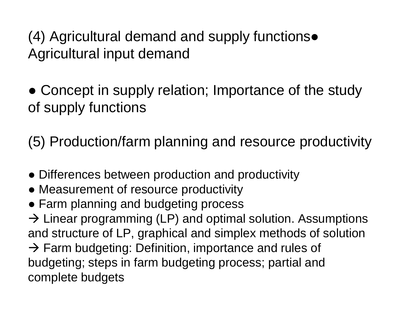(4) Agricultural demand and supply functions● Agricultural input demand

• Concept in supply relation; Importance of the study of supply functions

(5) Production/farm planning and resource productivity

- Differences between production and productivity
- Measurement of resource productivity
- Farm planning and budgeting process

 $\rightarrow$  Linear programming (LP) and optimal solution. Assumptions and structure of LP, graphical and simplex methods of solution  $\rightarrow$  Farm budgeting: Definition, importance and rules of budgeting; steps in farm budgeting process; partial and complete budgets